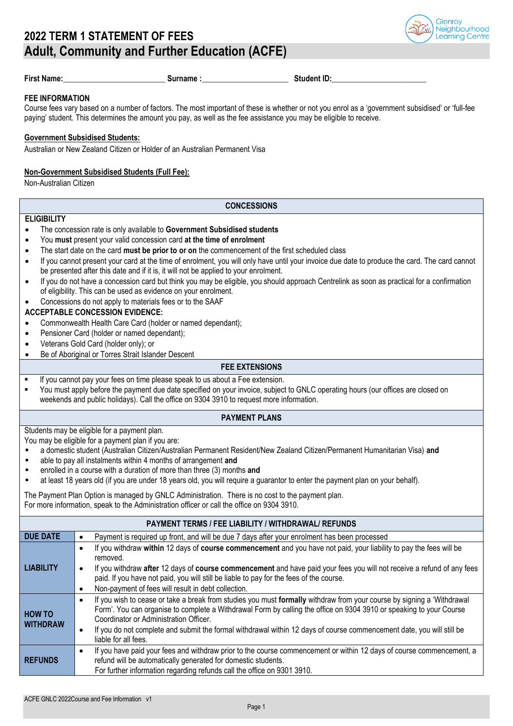

|  |  |  | First Name: |  |
|--|--|--|-------------|--|
|  |  |  |             |  |

**First Name:\_\_\_\_\_\_\_\_\_\_\_\_\_\_\_\_\_\_\_\_\_\_\_\_\_\_ Surname :\_\_\_\_\_\_\_\_\_\_\_\_\_\_\_\_\_\_\_\_\_\_ Student ID:\_\_\_\_\_\_\_\_\_\_\_\_\_\_\_\_\_\_\_\_\_\_\_\_**

#### **FEE INFORMATION**

Course fees vary based on a number of factors. The most important of these is whether or not you enrol as a 'government subsidised' or 'full-fee paying' student. This determines the amount you pay, as well as the fee assistance you may be eligible to receive.

## **Government Subsidised Students:**

Australian or New Zealand Citizen or Holder of an Australian Permanent Visa

#### **Non-Government Subsidised Students (Full Fee):**

Non-Australian Citizen

#### **CONCESSIONS**

## **ELIGIBILITY**

- The concession rate is only available to **Government Subsidised students**
- You **must** present your valid concession card **at the time of enrolment**
- The start date on the card **must be prior to or on** the commencement of the first scheduled class
- If you cannot present your card at the time of enrolment, you will only have until your invoice due date to produce the card. The card cannot be presented after this date and if it is, it will not be applied to your enrolment.
- If you do not have a concession card but think you may be eligible, you should approach Centrelink as soon as practical for a confirmation of eligibility. This can be used as evidence on your enrolment.
- Concessions do not apply to materials fees or to the SAAF

## **ACCEPTABLE CONCESSION EVIDENCE:**

- Commonwealth Health Care Card (holder or named dependant);
- Pensioner Card (holder or named dependant);
- Veterans Gold Card (holder only); or
- Be of Aboriginal or Torres Strait Islander Descent

# **FEE EXTENSIONS**

- If you cannot pay your fees on time please speak to us about a Fee extension.
- You must apply before the payment due date specified on your invoice, subject to GNLC operating hours (our offices are closed on weekends and public holidays). Call the office on 9304 3910 to request more information.

#### **PAYMENT PLANS**

Students may be eligible for a payment plan.

You may be eligible for a payment plan if you are:

- a domestic student (Australian Citizen/Australian Permanent Resident/New Zealand Citizen/Permanent Humanitarian Visa) **and**
- able to pay all instalments within 4 months of arrangement and
- enrolled in a course with a duration of more than three (3) months **and**
- at least 18 years old (if you are under 18 years old, you will require a guarantor to enter the payment plan on your behalf).

The Payment Plan Option is managed by GNLC Administration. There is no cost to the payment plan. For more information, speak to the Administration officer or call the office on 9304 3910.

| <b>PAYMENT TERMS / FEE LIABILITY / WITHDRAWAL/ REFUNDS</b> |                                                                                                                                                                                                                                                                                                                                                                                                                                          |  |  |  |
|------------------------------------------------------------|------------------------------------------------------------------------------------------------------------------------------------------------------------------------------------------------------------------------------------------------------------------------------------------------------------------------------------------------------------------------------------------------------------------------------------------|--|--|--|
| <b>DUE DATE</b>                                            | Payment is required up front, and will be due 7 days after your enrolment has been processed                                                                                                                                                                                                                                                                                                                                             |  |  |  |
| <b>LIABILITY</b>                                           | If you withdraw within 12 days of course commencement and you have not paid, your liability to pay the fees will be<br>removed.<br>If you withdraw after 12 days of course commencement and have paid your fees you will not receive a refund of any fees<br>paid. If you have not paid, you will still be liable to pay for the fees of the course.<br>Non-payment of fees will result in debt collection.                              |  |  |  |
| <b>HOW TO</b><br><b>WITHDRAW</b>                           | If you wish to cease or take a break from studies you must formally withdraw from your course by signing a 'Withdrawal<br>Form'. You can organise to complete a Withdrawal Form by calling the office on 9304 3910 or speaking to your Course<br>Coordinator or Administration Officer.<br>If you do not complete and submit the formal withdrawal within 12 days of course commencement date, you will still be<br>liable for all fees. |  |  |  |
| <b>REFUNDS</b>                                             | If you have paid your fees and withdraw prior to the course commencement or within 12 days of course commencement, a<br>refund will be automatically generated for domestic students.<br>For further information regarding refunds call the office on 9301 3910.                                                                                                                                                                         |  |  |  |